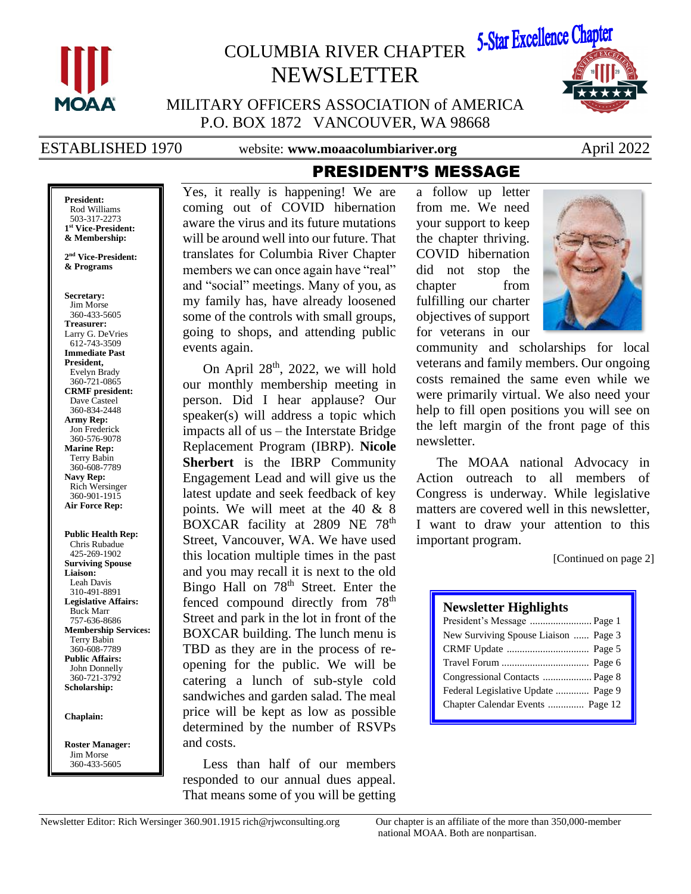

# COLUMBIA RIVER CHAPTER NEWSLETTER



MILITARY OFFICERS ASSOCIATION of AMERICA P.O. BOX 1872 VANCOUVER, WA 98668

ESTABLISHED 1970 website: www.moaacolumbiariver.org April 2022

PRESIDENT'S MESSAGE

#### **President:** Rod Williams 503-317-2273 **1 st Vice-President: & Membership:**

**2 nd Vice-President: & Programs**

**Secretary:** Jim Morse 360-433-5605 **Treasurer:** Larry G. DeVries 612-743-3509 **Immediate Past President,**  Evelyn Brady 360-721-0865 **CRMF president:** Dave Casteel 360-834-2448 **Army Rep:** Jon Frederick 360-576-9078 **Marine Rep:** Terry Babin 360-608-7789 **Navy Rep:** Rich Wersinger 360-901-1915 **Air Force Rep:**

**Public Health Rep:** Chris Rubadue 425-269-1902 **Surviving Spouse Liaison:** Leah Davis 310-491-8891 **Legislative Affairs:** Buck Marr 757-636-8686 **Membership Services:** Terry Babin 360-608-7789 **Public Affairs:** John Donnelly 360-721-3792 **Scholarship:**

**Chaplain:**

**Roster Manager:** Jim Morse 360-433-5605

Yes, it really is happening! We are coming out of COVID hibernation aware the virus and its future mutations will be around well into our future. That translates for Columbia River Chapter members we can once again have "real" and "social" meetings. Many of you, as my family has, have already loosened some of the controls with small groups, going to shops, and attending public events again.

On April  $28<sup>th</sup>$ , 2022, we will hold our monthly membership meeting in person. Did I hear applause? Our speaker(s) will address a topic which impacts all of us – the Interstate Bridge Replacement Program (IBRP). **Nicole Sherbert** is the IBRP Community Engagement Lead and will give us the latest update and seek feedback of key points. We will meet at the 40 & 8 BOXCAR facility at 2809 NE 78<sup>th</sup> Street, Vancouver, WA. We have used this location multiple times in the past and you may recall it is next to the old Bingo Hall on 78<sup>th</sup> Street. Enter the fenced compound directly from 78<sup>th</sup> Street and park in the lot in front of the BOXCAR building. The lunch menu is TBD as they are in the process of reopening for the public. We will be catering a lunch of sub-style cold sandwiches and garden salad. The meal price will be kept as low as possible determined by the number of RSVPs and costs.

Less than half of our members responded to our annual dues appeal. That means some of you will be getting a follow up letter from me. We need your support to keep the chapter thriving. COVID hibernation did not stop the chapter from fulfilling our charter objectives of support for veterans in our



community and scholarships for local veterans and family members. Our ongoing costs remained the same even while we were primarily virtual. We also need your help to fill open positions you will see on the left margin of the front page of this newsletter.

The MOAA national Advocacy in Action outreach to all members of Congress is underway. While legislative matters are covered well in this newsletter, I want to draw your attention to this important program.

[Continued on page 2]

### **Newsletter Highlights**

| President's Message  Page 1          |  |
|--------------------------------------|--|
| New Surviving Spouse Liaison  Page 3 |  |
|                                      |  |
|                                      |  |
|                                      |  |
| Federal Legislative Update  Page 9   |  |
| Chapter Calendar Events  Page 12     |  |
|                                      |  |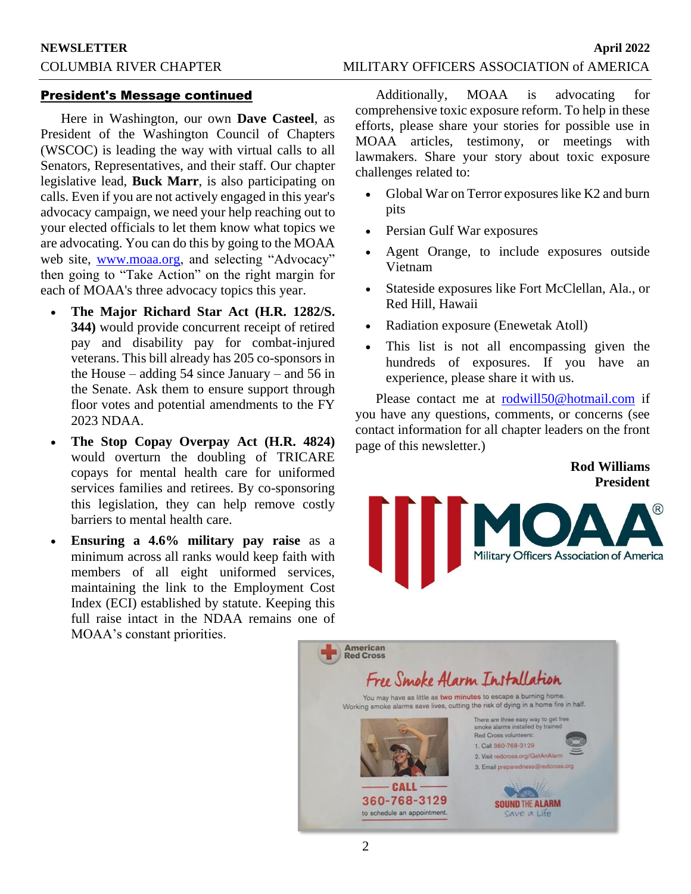### President's Message continued

Here in Washington, our own **Dave Casteel**, as President of the Washington Council of Chapters (WSCOC) is leading the way with virtual calls to all Senators, Representatives, and their staff. Our chapter legislative lead, **Buck Marr**, is also participating on calls. Even if you are not actively engaged in this year's advocacy campaign, we need your help reaching out to your elected officials to let them know what topics we are advocating. You can do this by going to the MOAA web site, [www.moaa.org,](http://www.moaa.org/) and selecting "Advocacy" then going to "Take Action" on the right margin for each of MOAA's three advocacy topics this year.

- **The Major Richard Star Act (H.R. 1282/S. 344)** would provide concurrent receipt of retired pay and disability pay for combat-injured veterans. This bill already has 205 co-sponsors in the House – adding 54 since January – and 56 in the Senate. Ask them to ensure support through floor votes and potential amendments to the FY 2023 NDAA.
- **The Stop Copay Overpay Act (H.R. 4824)** would overturn the doubling of TRICARE copays for mental health care for uniformed services families and retirees. By co-sponsoring this legislation, they can help remove costly barriers to mental health care.
- **Ensuring a 4.6% military pay raise** as a minimum across all ranks would keep faith with members of all eight uniformed services, maintaining the link to the Employment Cost Index (ECI) established by statute. Keeping this full raise intact in the NDAA remains one of MOAA's constant priorities.

Additionally, MOAA is advocating for comprehensive toxic exposure reform. To help in these efforts, please share your stories for possible use in MOAA articles, testimony, or meetings with lawmakers. Share your story about toxic exposure challenges related to:

- Global War on Terror exposures like K2 and burn pits
- Persian Gulf War exposures
- Agent Orange, to include exposures outside Vietnam
- Stateside exposures like Fort McClellan, Ala., or Red Hill, Hawaii
- Radiation exposure (Enewetak Atoll)
- This list is not all encompassing given the hundreds of exposures. If you have an experience, please share it with us.

Please contact me at [rodwill50@hotmail.com](mailto:rodwill50@hotmail.com) if you have any questions, comments, or concerns (see contact information for all chapter leaders on the front page of this newsletter.)

### **Rod Williams President**



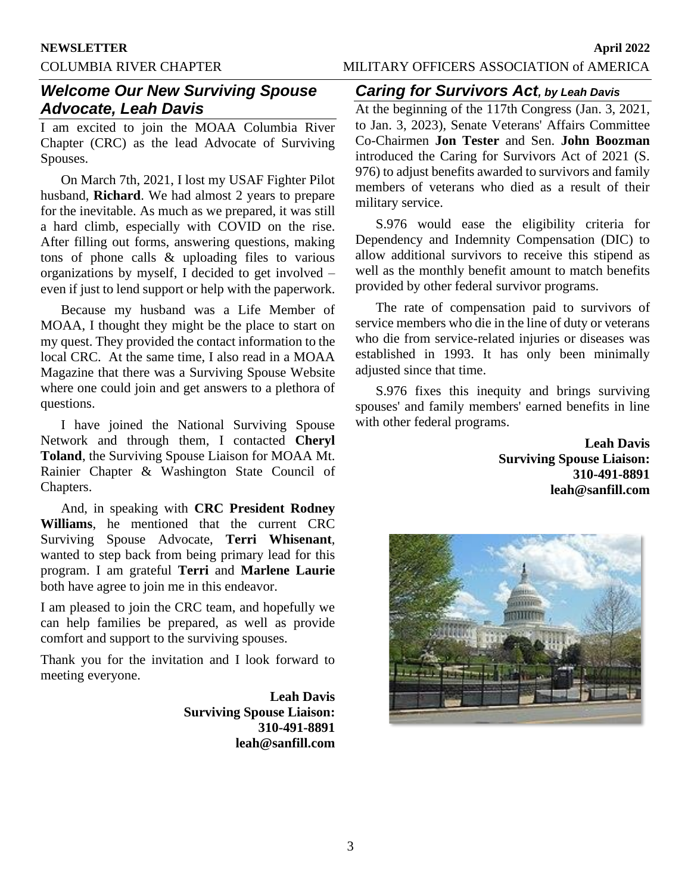# *Welcome Our New Surviving Spouse Advocate, Leah Davis*

I am excited to join the MOAA Columbia River Chapter (CRC) as the lead Advocate of Surviving Spouses.

On March 7th, 2021, I lost my USAF Fighter Pilot husband, **Richard**. We had almost 2 years to prepare for the inevitable. As much as we prepared, it was still a hard climb, especially with COVID on the rise. After filling out forms, answering questions, making tons of phone calls & uploading files to various organizations by myself, I decided to get involved – even if just to lend support or help with the paperwork.

Because my husband was a Life Member of MOAA, I thought they might be the place to start on my quest. They provided the contact information to the local CRC. At the same time, I also read in a MOAA Magazine that there was a Surviving Spouse Website where one could join and get answers to a plethora of questions.

I have joined the National Surviving Spouse Network and through them, I contacted **Cheryl Toland**, the Surviving Spouse Liaison for MOAA Mt. Rainier Chapter & Washington State Council of Chapters.

And, in speaking with **CRC President Rodney Williams**, he mentioned that the current CRC Surviving Spouse Advocate, **Terri Whisenant**, wanted to step back from being primary lead for this program. I am grateful **Terri** and **Marlene Laurie** both have agree to join me in this endeavor.

I am pleased to join the CRC team, and hopefully we can help families be prepared, as well as provide comfort and support to the surviving spouses.

Thank you for the invitation and I look forward to meeting everyone.

> **Leah Davis Surviving Spouse Liaison: 310-491-8891 leah@sanfill.com**

# *Caring for Survivors Act, by Leah Davis*

At the beginning of the 117th Congress (Jan. 3, 2021, to Jan. 3, 2023), Senate Veterans' Affairs Committee Co-Chairmen **Jon Tester** and Sen. **John Boozman** introduced the Caring for Survivors Act of 2021 (S. 976) to adjust benefits awarded to survivors and family members of veterans who died as a result of their military service.

S.976 would ease the eligibility criteria for Dependency and Indemnity Compensation (DIC) to allow additional survivors to receive this stipend as well as the monthly benefit amount to match benefits provided by other federal survivor programs.

The rate of compensation paid to survivors of service members who die in the line of duty or veterans who die from service-related injuries or diseases was established in 1993. It has only been minimally adjusted since that time.

S.976 fixes this inequity and brings surviving spouses' and family members' earned benefits in line with other federal programs.

> **Leah Davis Surviving Spouse Liaison: 310-491-8891 leah@sanfill.com**

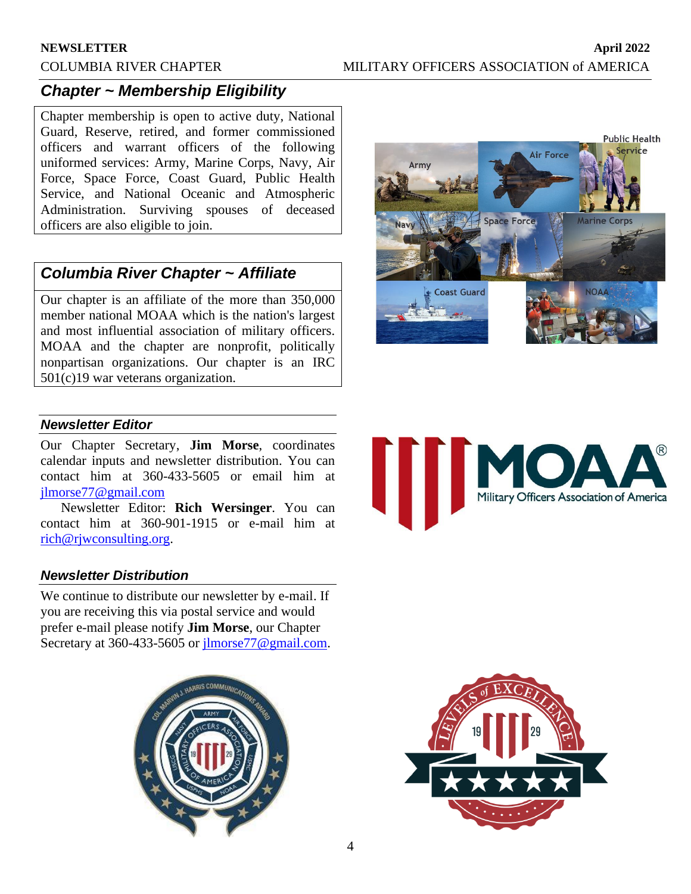# *Chapter ~ Membership Eligibility*

Chapter membership is open to active duty, National Guard, Reserve, retired, and former commissioned officers and warrant officers of the following uniformed services: Army, Marine Corps, Navy, Air Force, Space Force, Coast Guard, Public Health Service, and National Oceanic and Atmospheric Administration. Surviving spouses of deceased officers are also eligible to join.

# *Columbia River Chapter ~ Affiliate*

Our chapter is an affiliate of the more than 350,000 member national MOAA which is the nation's largest and most influential association of military officers. MOAA and the chapter are nonprofit, politically nonpartisan organizations. Our chapter is an IRC 501(c)19 war veterans organization.



Military Officers Association of America

# *Newsletter Editor*

Our Chapter Secretary, **Jim Morse**, coordinates calendar inputs and newsletter distribution. You can contact him at 360-433-5605 or email him at [jlmorse77@gmail.com](mailto:jlmorse77@gmail.com)

Newsletter Editor: **Rich Wersinger**. You can contact him at 360-901-1915 or e-mail him at [rich@rjwconsulting.org.](mailto:rich@rjwconsulting.org)

# *Newsletter Distribution*

We continue to distribute our newsletter by e-mail. If you are receiving this via postal service and would prefer e-mail please notify **Jim Morse**, our Chapter Secretary at 360-433-5605 or [jlmorse77@gmail.com.](mailto:jlmorse77@gmail.com)



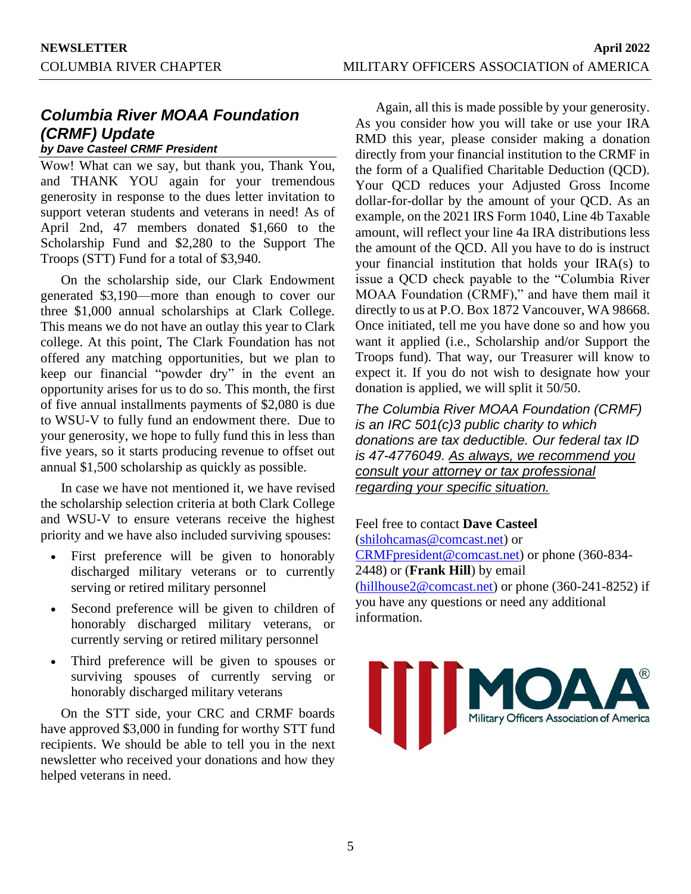# *Columbia River MOAA Foundation (CRMF) Update*

*by Dave Casteel CRMF President*

Wow! What can we say, but thank you, Thank You, and THANK YOU again for your tremendous generosity in response to the dues letter invitation to support veteran students and veterans in need! As of April 2nd, 47 members donated \$1,660 to the Scholarship Fund and \$2,280 to the Support The Troops (STT) Fund for a total of \$3,940.

On the scholarship side, our Clark Endowment generated \$3,190—more than enough to cover our three \$1,000 annual scholarships at Clark College. This means we do not have an outlay this year to Clark college. At this point, The Clark Foundation has not offered any matching opportunities, but we plan to keep our financial "powder dry" in the event an opportunity arises for us to do so. This month, the first of five annual installments payments of \$2,080 is due to WSU-V to fully fund an endowment there. Due to your generosity, we hope to fully fund this in less than five years, so it starts producing revenue to offset out annual \$1,500 scholarship as quickly as possible.

In case we have not mentioned it, we have revised the scholarship selection criteria at both Clark College and WSU-V to ensure veterans receive the highest priority and we have also included surviving spouses:

- First preference will be given to honorably discharged military veterans or to currently serving or retired military personnel
- Second preference will be given to children of honorably discharged military veterans, or currently serving or retired military personnel
- Third preference will be given to spouses or surviving spouses of currently serving or honorably discharged military veterans

On the STT side, your CRC and CRMF boards have approved \$3,000 in funding for worthy STT fund recipients. We should be able to tell you in the next newsletter who received your donations and how they helped veterans in need.

Again, all this is made possible by your generosity. As you consider how you will take or use your IRA RMD this year, please consider making a donation directly from your financial institution to the CRMF in the form of a Qualified Charitable Deduction (QCD). Your QCD reduces your Adjusted Gross Income dollar-for-dollar by the amount of your QCD. As an example, on the 2021 IRS Form 1040, Line 4b Taxable amount, will reflect your line 4a IRA distributions less the amount of the QCD. All you have to do is instruct your financial institution that holds your IRA(s) to issue a QCD check payable to the "Columbia River MOAA Foundation (CRMF)," and have them mail it directly to us at P.O. Box 1872 Vancouver, WA 98668. Once initiated, tell me you have done so and how you want it applied (i.e., Scholarship and/or Support the Troops fund). That way, our Treasurer will know to expect it. If you do not wish to designate how your donation is applied, we will split it 50/50.

*The Columbia River MOAA Foundation (CRMF) is an IRC 501(c)3 public charity to which donations are tax deductible. Our federal tax ID is 47-4776049. As always, we recommend you consult your attorney or tax professional regarding your specific situation.*

Feel free to contact **Dave Casteel** [\(shilohcamas@comcast.net\)](mailto:shilohcamas@comcast.net) or [CRMFpresident@comcast.net\)](mailto:CRMFpresident@comcast.net) or phone (360-834- 2448) or (**Frank Hill**) by email [\(hillhouse2@comcast.net\)](mailto:hillhouse2@comcast.net) or phone (360-241-8252) if you have any questions or need any additional information.

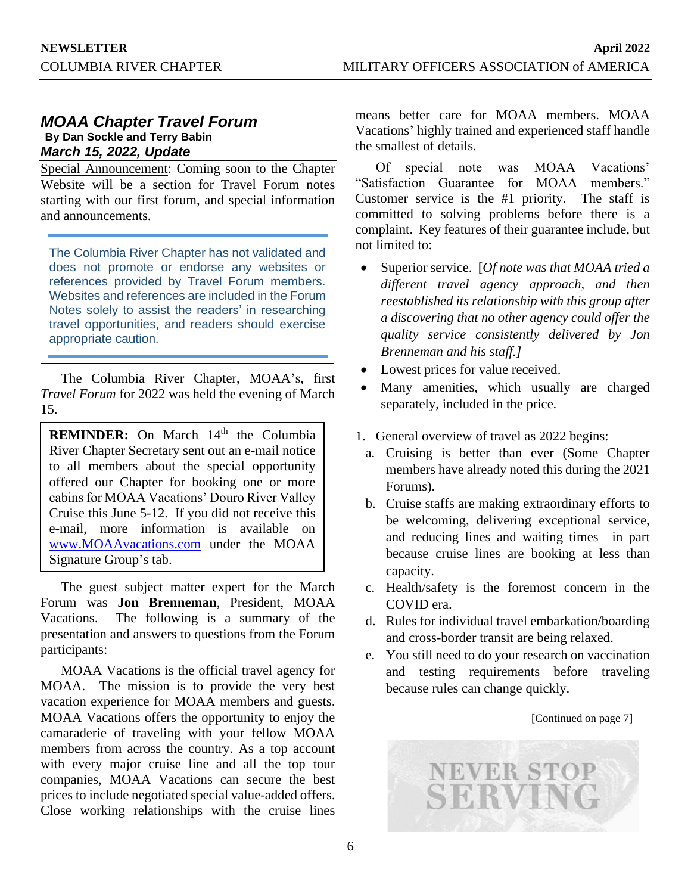# *MOAA Chapter Travel Forum*  **By Dan Sockle and Terry Babin** *March 15, 2022, Update*

Special Announcement: Coming soon to the Chapter Website will be a section for Travel Forum notes starting with our first forum, and special information and announcements.

The Columbia River Chapter has not validated and does not promote or endorse any websites or references provided by Travel Forum members. Websites and references are included in the Forum Notes solely to assist the readers' in researching travel opportunities, and readers should exercise appropriate caution.

The Columbia River Chapter, MOAA's, first *Travel Forum* for 2022 was held the evening of March 15.

**REMINDER:** On March 14<sup>th</sup> the Columbia River Chapter Secretary sent out an e-mail notice to all members about the special opportunity offered our Chapter for booking one or more cabins for MOAA Vacations' Douro River Valley Cruise this June 5-12. If you did not receive this e-mail, more information is available on [www.MOAAvacations.com](http://www.moaavacations.com/) under the MOAA Signature Group's tab.

The guest subject matter expert for the March Forum was **Jon Brenneman**, President, MOAA Vacations. The following is a summary of the presentation and answers to questions from the Forum participants:

MOAA Vacations is the official travel agency for MOAA. The mission is to provide the very best vacation experience for MOAA members and guests. MOAA Vacations offers the opportunity to enjoy the camaraderie of traveling with your fellow MOAA members from across the country. As a top account with every major cruise line and all the top tour companies, MOAA Vacations can secure the best prices to include negotiated special value-added offers. Close working relationships with the cruise lines

means better care for MOAA members. MOAA Vacations' highly trained and experienced staff handle the smallest of details.

Of special note was MOAA Vacations' "Satisfaction Guarantee for MOAA members." Customer service is the #1 priority. The staff is committed to solving problems before there is a complaint. Key features of their guarantee include, but not limited to:

- Superior service. [*Of note was that MOAA tried a different travel agency approach, and then reestablished its relationship with this group after a discovering that no other agency could offer the quality service consistently delivered by Jon Brenneman and his staff.]*
- Lowest prices for value received.
- Many amenities, which usually are charged separately, included in the price.
- 1. General overview of travel as 2022 begins:
	- a. Cruising is better than ever (Some Chapter members have already noted this during the 2021 Forums).
	- b. Cruise staffs are making extraordinary efforts to be welcoming, delivering exceptional service, and reducing lines and waiting times—in part because cruise lines are booking at less than capacity.
	- c. Health/safety is the foremost concern in the COVID era.
	- d. Rules for individual travel embarkation/boarding and cross-border transit are being relaxed.
	- e. You still need to do your research on vaccination and testing requirements before traveling because rules can change quickly.



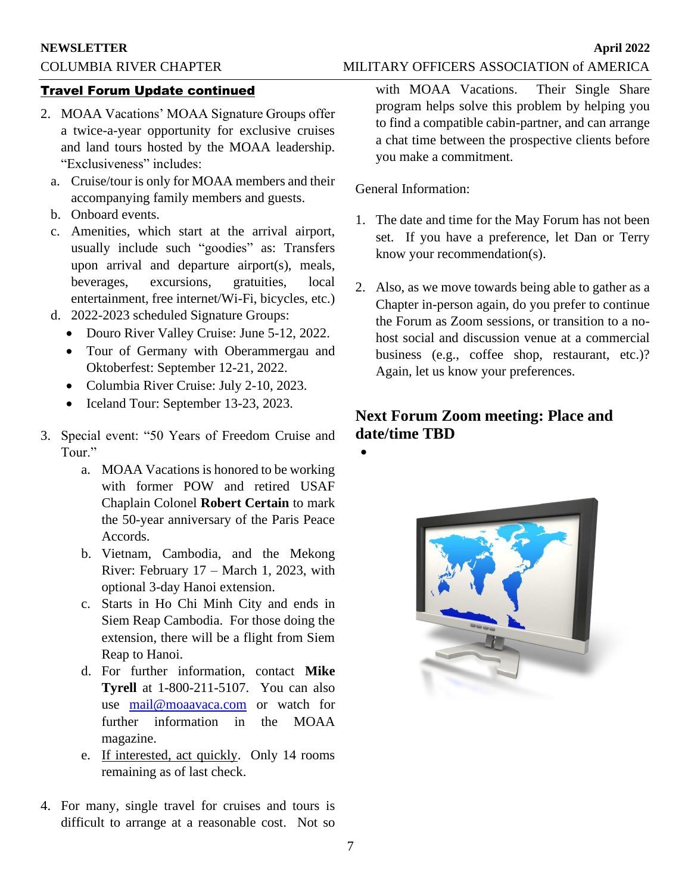#### **NEWSLETTER April 2022**

### Travel Forum Update continued

- 2. MOAA Vacations' MOAA Signature Groups offer a twice-a-year opportunity for exclusive cruises and land tours hosted by the MOAA leadership. "Exclusiveness" includes:
	- a. Cruise/tour is only for MOAA members and their accompanying family members and guests.
	- b. Onboard events.
	- c. Amenities, which start at the arrival airport, usually include such "goodies" as: Transfers upon arrival and departure airport(s), meals, beverages, excursions, gratuities, local entertainment, free internet/Wi-Fi, bicycles, etc.)
	- d. 2022-2023 scheduled Signature Groups:
		- Douro River Valley Cruise: June 5-12, 2022.
		- Tour of Germany with Oberammergau and Oktoberfest: September 12-21, 2022.
		- Columbia River Cruise: July 2-10, 2023.
		- Iceland Tour: September 13-23, 2023.
- 3. Special event: "50 Years of Freedom Cruise and Tour."
	- a. MOAA Vacations is honored to be working with former POW and retired USAF Chaplain Colonel **Robert Certain** to mark the 50-year anniversary of the Paris Peace Accords.
	- b. Vietnam, Cambodia, and the Mekong River: February 17 – March 1, 2023, with optional 3-day Hanoi extension.
	- c. Starts in Ho Chi Minh City and ends in Siem Reap Cambodia. For those doing the extension, there will be a flight from Siem Reap to Hanoi.
	- d. For further information, contact **Mike Tyrell** at 1-800-211-5107. You can also use [mail@moaavaca.com](mailto:mail@moaavaca.com) or watch for further information in the MOAA magazine.
	- e. If interested, act quickly. Only 14 rooms remaining as of last check.
- 4. For many, single travel for cruises and tours is difficult to arrange at a reasonable cost. Not so

with MOAA Vacations. Their Single Share program helps solve this problem by helping you to find a compatible cabin-partner, and can arrange a chat time between the prospective clients before you make a commitment.

General Information:

- 1. The date and time for the May Forum has not been set. If you have a preference, let Dan or Terry know your recommendation(s).
- 2. Also, as we move towards being able to gather as a Chapter in-person again, do you prefer to continue the Forum as Zoom sessions, or transition to a nohost social and discussion venue at a commercial business (e.g., coffee shop, restaurant, etc.)? Again, let us know your preferences.

# **Next Forum Zoom meeting: Place and date/time TBD**

•

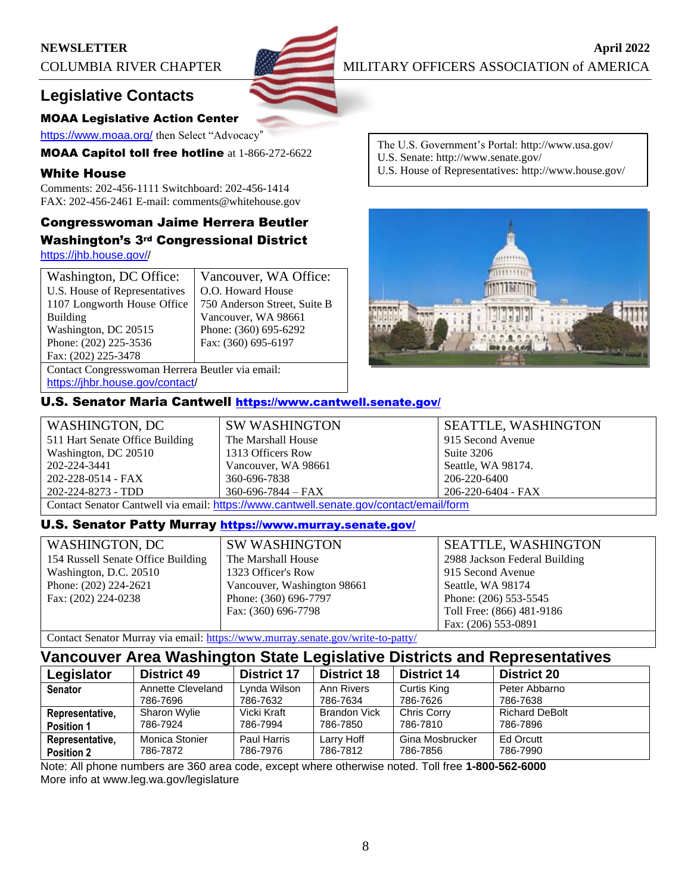# **NEWSLETTER April** 2022



COLUMBIA RIVER CHAPTER MILITARY OFFICERS ASSOCIATION of AMERICA

# **Legislative Contacts**

### MOAA Legislative Action Center

<https://www.moaa.org/> then Select "Advocacy"

MOAA Capitol toll free hotline at 1-866-272-6622

### White House

Comments: 202-456-1111 Switchboard: 202-456-1414 FAX: 202-456-2461 E-mail: comments@whitehouse.gov

# Congresswoman Jaime Herrera Beutler Washington's 3rd Congressional District

[https://jhb.house.gov//](https://jhb.house.gov/)

| Washington, DC Office:                           | Vancouver, WA Office:        |  |
|--------------------------------------------------|------------------------------|--|
| U.S. House of Representatives                    | O.O. Howard House            |  |
| 1107 Longworth House Office                      | 750 Anderson Street, Suite B |  |
| <b>Building</b>                                  | Vancouver, WA 98661          |  |
| Washington, DC 20515                             | Phone: (360) 695-6292        |  |
| Phone: (202) 225-3536                            | Fax: (360) 695-6197          |  |
| Fax: (202) 225-3478                              |                              |  |
| Contact Congresswoman Herrera Beutler via email: |                              |  |
|                                                  |                              |  |

[https://jhbr.house.gov/contact/](https://jhb.house.gov/contact/default.aspx)

# U.S. Senator Maria Cantwell <https://www.cantwell.senate.gov/>

| WASHINGTON, DC                                                                         | <b>SW WASHINGTON</b>     | <b>SEATTLE, WASHINGTON</b> |  |
|----------------------------------------------------------------------------------------|--------------------------|----------------------------|--|
| 511 Hart Senate Office Building                                                        | The Marshall House       | 915 Second Avenue          |  |
| Washington, DC 20510                                                                   | 1313 Officers Row        | Suite 3206                 |  |
| 202-224-3441                                                                           | Vancouver, WA 98661      | Seattle, WA 98174.         |  |
| 202-228-0514 - FAX                                                                     | 360-696-7838             | 206-220-6400               |  |
| 202-224-8273 - TDD                                                                     | $360 - 696 - 7844 - FAX$ | 206-220-6404 - FAX         |  |
| Contact Senator Cantwell via email: https://www.cantwell.senate.gov/contact/email/form |                          |                            |  |

# U.S. Senator Patty Murray <https://www.murray.senate.gov/>

| <b>WASHINGTON, DC</b>              |
|------------------------------------|
| 154 Russell Senate Office Building |
| Washington, D.C. 20510             |
| Phone: (202) 224-2621              |
| Fax: (202) 224-0238                |
|                                    |

SW WASHINGTON The Marshall House 1323 Officer's Row Vancouver, Washington 98661 Phone: (360) 696-7797 Fax: (360) 696-7798

SEATTLE, WASHINGTON 2988 Jackson Federal Building 915 Second Avenue Seattle, WA 98174 Phone: (206) 553-5545 Toll Free: (866) 481-9186 Fax: (206) 553-0891

Contact Senator Murray via email:<https://www.murray.senate.gov/write-to-patty/>

# **Vancouver Area Washington State Legislative Districts and Representatives**

| Legislator                           | <b>District 49</b>         | <b>District 17</b>      | <b>District 18</b>     | <b>District 14</b>          | <b>District 20</b>    |
|--------------------------------------|----------------------------|-------------------------|------------------------|-----------------------------|-----------------------|
| <b>Senator</b>                       | Annette Cleveland          | Lynda Wilson            | Ann Rivers             | Curtis King                 | Peter Abbarno         |
|                                      | 786-7696                   | 786-7632                | 786-7634               | 786-7626                    | 786-7638              |
| Representative,                      | Sharon Wylie               | Vicki Kraft             | <b>Brandon Vick</b>    | <b>Chris Corry</b>          | <b>Richard DeBolt</b> |
| <b>Position 1</b>                    | 786-7924                   | 786-7994                | 786-7850               | 786-7810                    | 786-7896              |
| Representative,<br><b>Position 2</b> | Monica Stonier<br>786-7872 | Paul Harris<br>786-7976 | Larry Hoff<br>786-7812 | Gina Mosbrucker<br>786-7856 | Ed Orcutt<br>786-7990 |

Note: All phone numbers are 360 area code, except where otherwise noted. Toll free **1-800-562-6000** More info at www.leg.wa.gov/legislature

- The U.S. Government's Portal: http://www.usa.gov/ U.S. Senate: http://www.senate.gov/
- U.S. House of Representatives: http://www.house.gov/

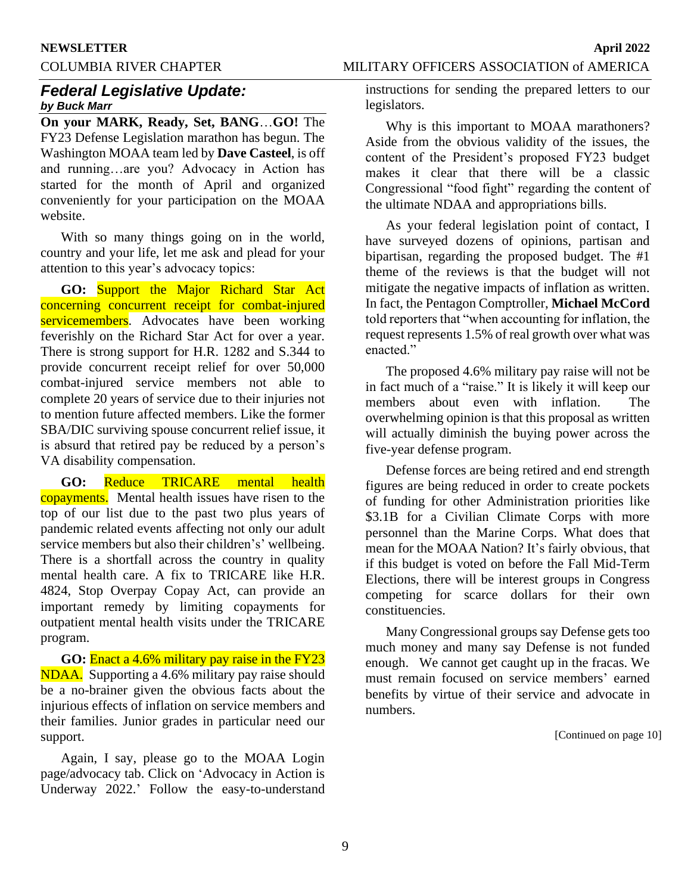#### **NEWSLETTER April 2022**

COLUMBIA RIVER CHAPTER MILITARY OFFICERS ASSOCIATION of AMERICA

# *Federal Legislative Update: by Buck Marr*

**On your MARK, Ready, Set, BANG**…**GO!** The FY23 Defense Legislation marathon has begun. The Washington MOAA team led by **Dave Casteel**, is off and running…are you? Advocacy in Action has started for the month of April and organized conveniently for your participation on the MOAA website.

With so many things going on in the world, country and your life, let me ask and plead for your attention to this year's advocacy topics:

**GO:** Support the Major Richard Star Act concerning concurrent receipt for combat-injured servicemembers. Advocates have been working feverishly on the Richard Star Act for over a year. There is strong support for H.R. 1282 and S.344 to provide concurrent receipt relief for over 50,000 combat-injured service members not able to complete 20 years of service due to their injuries not to mention future affected members. Like the former SBA/DIC surviving spouse concurrent relief issue, it is absurd that retired pay be reduced by a person's VA disability compensation.

**GO:** Reduce TRICARE mental health copayments. Mental health issues have risen to the top of our list due to the past two plus years of pandemic related events affecting not only our adult service members but also their children's' wellbeing. There is a shortfall across the country in quality mental health care. A fix to TRICARE like H.R. 4824, Stop Overpay Copay Act, can provide an important remedy by limiting copayments for outpatient mental health visits under the TRICARE program.

**GO:** Enact a 4.6% military pay raise in the FY23 NDAA. Supporting a 4.6% military pay raise should be a no-brainer given the obvious facts about the injurious effects of inflation on service members and their families. Junior grades in particular need our support.

Again, I say, please go to the MOAA Login page/advocacy tab. Click on 'Advocacy in Action is Underway 2022.' Follow the easy-to-understand instructions for sending the prepared letters to our legislators.

Why is this important to MOAA marathoners? Aside from the obvious validity of the issues, the content of the President's proposed FY23 budget makes it clear that there will be a classic Congressional "food fight" regarding the content of the ultimate NDAA and appropriations bills.

As your federal legislation point of contact, I have surveyed dozens of opinions, partisan and bipartisan, regarding the proposed budget. The #1 theme of the reviews is that the budget will not mitigate the negative impacts of inflation as written. In fact, the Pentagon Comptroller, **Michael McCord** told reporters that "when accounting for inflation, the request represents 1.5% of real growth over what was enacted."

The proposed 4.6% military pay raise will not be in fact much of a "raise." It is likely it will keep our members about even with inflation. The overwhelming opinion is that this proposal as written will actually diminish the buying power across the five-year defense program.

Defense forces are being retired and end strength figures are being reduced in order to create pockets of funding for other Administration priorities like \$3.1B for a Civilian Climate Corps with more personnel than the Marine Corps. What does that mean for the MOAA Nation? It's fairly obvious, that if this budget is voted on before the Fall Mid-Term Elections, there will be interest groups in Congress competing for scarce dollars for their own constituencies.

Many Congressional groups say Defense gets too much money and many say Defense is not funded enough. We cannot get caught up in the fracas. We must remain focused on service members' earned benefits by virtue of their service and advocate in numbers.

[Continued on page 10]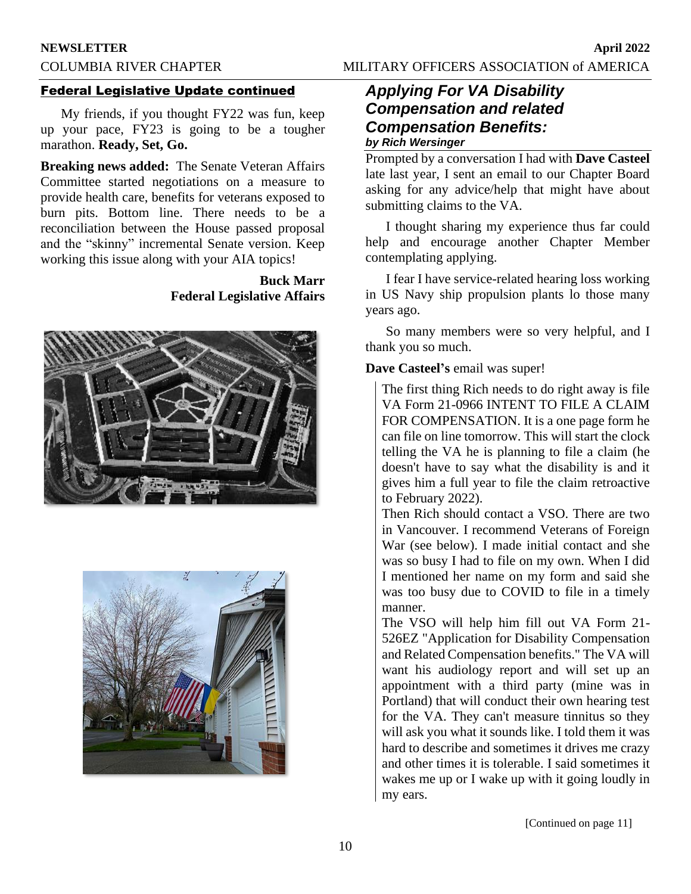# **NEWSLETTER April 2022** COLUMBIA RIVER CHAPTER MILITARY OFFICERS ASSOCIATION of AMERICA

# Federal Legislative Update continued

My friends, if you thought FY22 was fun, keep up your pace, FY23 is going to be a tougher marathon. **Ready, Set, Go.** 

**Breaking news added:** The Senate Veteran Affairs Committee started negotiations on a measure to provide health care, benefits for veterans exposed to burn pits. Bottom line. There needs to be a reconciliation between the House passed proposal and the "skinny" incremental Senate version. Keep working this issue along with your AIA topics!

# **Buck Marr Federal Legislative Affairs**





# *Applying For VA Disability Compensation and related Compensation Benefits: by Rich Wersinger*

Prompted by a conversation I had with **Dave Casteel** late last year, I sent an email to our Chapter Board asking for any advice/help that might have about submitting claims to the VA.

I thought sharing my experience thus far could help and encourage another Chapter Member contemplating applying.

I fear I have service-related hearing loss working in US Navy ship propulsion plants lo those many years ago.

So many members were so very helpful, and I thank you so much.

# **Dave Casteel's** email was super!

The first thing Rich needs to do right away is file VA Form 21-0966 INTENT TO FILE A CLAIM FOR COMPENSATION. It is a one page form he can file on line tomorrow. This will start the clock telling the VA he is planning to file a claim (he doesn't have to say what the disability is and it gives him a full year to file the claim retroactive to February 2022).

Then Rich should contact a VSO. There are two in Vancouver. I recommend Veterans of Foreign War (see below). I made initial contact and she was so busy I had to file on my own. When I did I mentioned her name on my form and said she was too busy due to COVID to file in a timely manner.

The VSO will help him fill out VA Form 21- 526EZ "Application for Disability Compensation and Related Compensation benefits." The VA will want his audiology report and will set up an appointment with a third party (mine was in Portland) that will conduct their own hearing test for the VA. They can't measure tinnitus so they will ask you what it sounds like. I told them it was hard to describe and sometimes it drives me crazy and other times it is tolerable. I said sometimes it wakes me up or I wake up with it going loudly in my ears.

[Continued on page 11]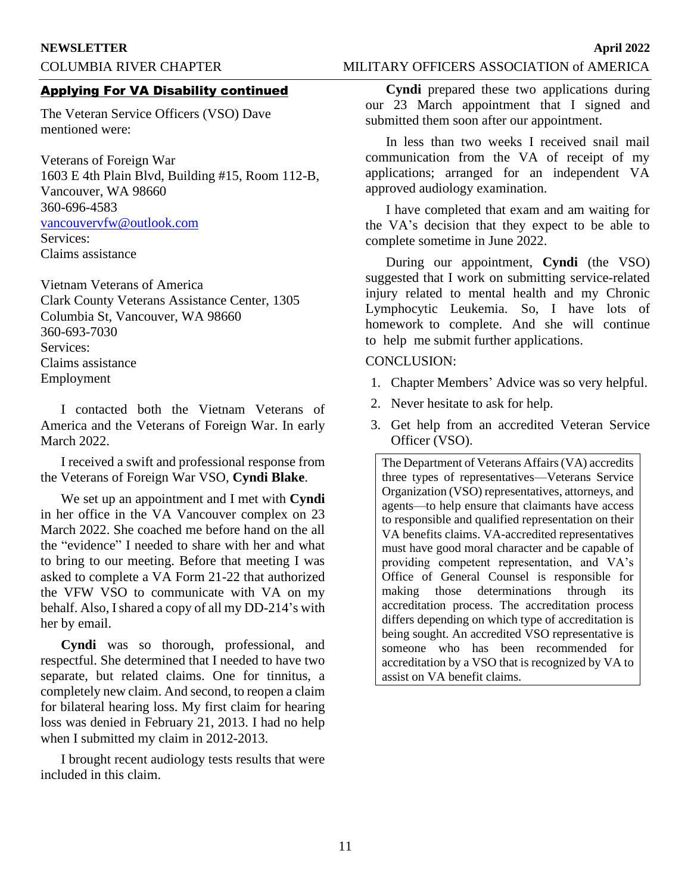# COLUMBIA RIVER CHAPTER MILITARY OFFICERS ASSOCIATION of AMERICA

### Applying For VA Disability continued

The Veteran Service Officers (VSO) Dave mentioned were:

Veterans of Foreign War 1603 E 4th Plain Blvd, Building #15, Room 112-B, Vancouver, WA 98660 360-696-4583 [vancouvervfw@outlook.com](mailto:vancouvervfw@outlook.com) Services: Claims assistance

Vietnam Veterans of America Clark County Veterans Assistance Center, 1305 Columbia St, Vancouver, WA 98660 360-693-7030 Services: Claims assistance Employment

I contacted both the Vietnam Veterans of America and the Veterans of Foreign War. In early March 2022.

I received a swift and professional response from the Veterans of Foreign War VSO, **Cyndi Blake**.

We set up an appointment and I met with **Cyndi** in her office in the VA Vancouver complex on 23 March 2022. She coached me before hand on the all the "evidence" I needed to share with her and what to bring to our meeting. Before that meeting I was asked to complete a VA Form 21-22 that authorized the VFW VSO to communicate with VA on my behalf. Also, I shared a copy of all my DD-214's with her by email.

**Cyndi** was so thorough, professional, and respectful. She determined that I needed to have two separate, but related claims. One for tinnitus, a completely new claim. And second, to reopen a claim for bilateral hearing loss. My first claim for hearing loss was denied in February 21, 2013. I had no help when I submitted my claim in 2012-2013.

I brought recent audiology tests results that were included in this claim.

**Cyndi** prepared these two applications during our 23 March appointment that I signed and submitted them soon after our appointment.

In less than two weeks I received snail mail communication from the VA of receipt of my applications; arranged for an independent VA approved audiology examination.

I have completed that exam and am waiting for the VA's decision that they expect to be able to complete sometime in June 2022.

During our appointment, **Cyndi** (the VSO) suggested that I work on submitting service-related injury related to mental health and my Chronic Lymphocytic Leukemia. So, I have lots of homework to complete. And she will continue to help me submit further applications.

### CONCLUSION:

- 1. Chapter Members' Advice was so very helpful.
- 2. Never hesitate to ask for help.
- 3. Get help from an accredited Veteran Service Officer (VSO).

The Department of Veterans Affairs (VA) accredits three types of representatives—Veterans Service Organization (VSO) representatives, attorneys, and agents—to help ensure that claimants have access to responsible and qualified representation on their VA benefits claims. VA-accredited representatives must have good moral character and be capable of providing competent representation, and VA's Office of General Counsel is responsible for making those determinations through its accreditation process. The accreditation process differs depending on which type of accreditation is being sought. An accredited VSO representative is someone who has been recommended for accreditation by a VSO that is recognized by VA to assist on VA benefit claims.